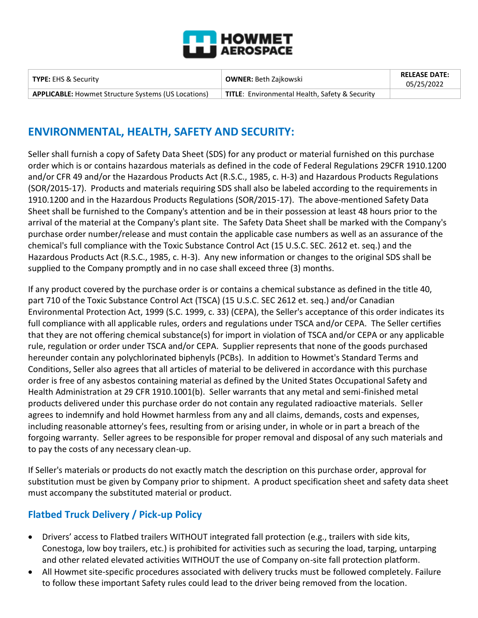

| <b>TYPE: EHS &amp; Security</b>                            | <b>OWNER: Beth Zajkowski</b>                          | <b>RELEASE DATE:</b><br>05/25/2022 |
|------------------------------------------------------------|-------------------------------------------------------|------------------------------------|
| <b>APPLICABLE:</b> Howmet Structure Systems (US Locations) | <b>TITLE:</b> Environmental Health, Safety & Security |                                    |

# **ENVIRONMENTAL, HEALTH, SAFETY AND SECURITY:**

Seller shall furnish a copy of Safety Data Sheet (SDS) for any product or material furnished on this purchase order which is or contains hazardous materials as defined in the code of Federal Regulations 29CFR 1910.1200 and/or CFR 49 and/or the Hazardous Products Act (R.S.C., 1985, c. H-3) and Hazardous Products Regulations (SOR/2015-17). Products and materials requiring SDS shall also be labeled according to the requirements in 1910.1200 and in the Hazardous Products Regulations (SOR/2015-17). The above-mentioned Safety Data Sheet shall be furnished to the Company's attention and be in their possession at least 48 hours prior to the arrival of the material at the Company's plant site. The Safety Data Sheet shall be marked with the Company's purchase order number/release and must contain the applicable case numbers as well as an assurance of the chemical's full compliance with the Toxic Substance Control Act (15 U.S.C. SEC. 2612 et. seq.) and the Hazardous Products Act (R.S.C., 1985, c. H-3). Any new information or changes to the original SDS shall be supplied to the Company promptly and in no case shall exceed three (3) months.

If any product covered by the purchase order is or contains a chemical substance as defined in the title 40, part 710 of the Toxic Substance Control Act (TSCA) (15 U.S.C. SEC 2612 et. seq.) and/or Canadian Environmental Protection Act, 1999 (S.C. 1999, c. 33) (CEPA), the Seller's acceptance of this order indicates its full compliance with all applicable rules, orders and regulations under TSCA and/or CEPA. The Seller certifies that they are not offering chemical substance(s) for import in violation of TSCA and/or CEPA or any applicable rule, regulation or order under TSCA and/or CEPA. Supplier represents that none of the goods purchased hereunder contain any polychlorinated biphenyls (PCBs). In addition to Howmet's Standard Terms and Conditions, Seller also agrees that all articles of material to be delivered in accordance with this purchase order is free of any asbestos containing material as defined by the United States Occupational Safety and Health Administration at 29 CFR 1910.1001(b). Seller warrants that any metal and semi-finished metal products delivered under this purchase order do not contain any regulated radioactive materials. Seller agrees to indemnify and hold Howmet harmless from any and all claims, demands, costs and expenses, including reasonable attorney's fees, resulting from or arising under, in whole or in part a breach of the forgoing warranty. Seller agrees to be responsible for proper removal and disposal of any such materials and to pay the costs of any necessary clean-up.

If Seller's materials or products do not exactly match the description on this purchase order, approval for substitution must be given by Company prior to shipment. A product specification sheet and safety data sheet must accompany the substituted material or product.

#### **Flatbed Truck Delivery / Pick-up Policy**

- Drivers' access to Flatbed trailers WITHOUT integrated fall protection (e.g., trailers with side kits, Conestoga, low boy trailers, etc.) is prohibited for activities such as securing the load, tarping, untarping and other related elevated activities WITHOUT the use of Company on-site fall protection platform.
- All Howmet site-specific procedures associated with delivery trucks must be followed completely. Failure to follow these important Safety rules could lead to the driver being removed from the location.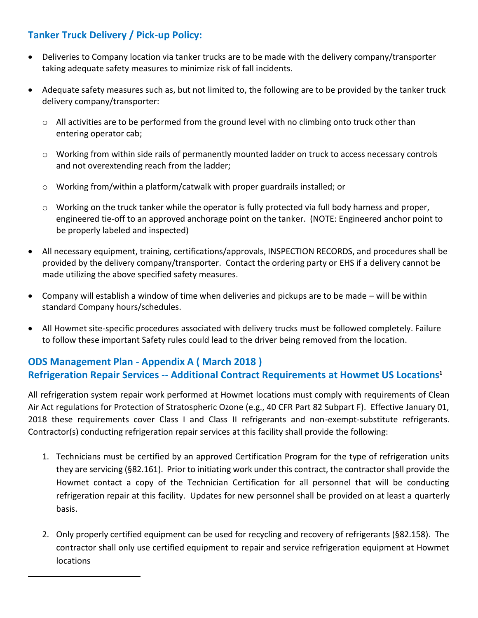### **Tanker Truck Delivery / Pick-up Policy:**

- Deliveries to Company location via tanker trucks are to be made with the delivery company/transporter taking adequate safety measures to minimize risk of fall incidents.
- Adequate safety measures such as, but not limited to, the following are to be provided by the tanker truck delivery company/transporter:
	- o All activities are to be performed from the ground level with no climbing onto truck other than entering operator cab;
	- o Working from within side rails of permanently mounted ladder on truck to access necessary controls and not overextending reach from the ladder;
	- o Working from/within a platform/catwalk with proper guardrails installed; or
	- $\circ$  Working on the truck tanker while the operator is fully protected via full body harness and proper, engineered tie-off to an approved anchorage point on the tanker. (NOTE: Engineered anchor point to be properly labeled and inspected)
- All necessary equipment, training, certifications/approvals, INSPECTION RECORDS, and procedures shall be provided by the delivery company/transporter. Contact the ordering party or EHS if a delivery cannot be made utilizing the above specified safety measures.
- Company will establish a window of time when deliveries and pickups are to be made will be within standard Company hours/schedules.
- All Howmet site-specific procedures associated with delivery trucks must be followed completely. Failure to follow these important Safety rules could lead to the driver being removed from the location.

## **ODS Management Plan - Appendix A ( March 2018 ) Refrigeration Repair Services -- Additional Contract Requirements at Howmet US Locations<sup>1</sup>**

All refrigeration system repair work performed at Howmet locations must comply with requirements of Clean Air Act regulations for Protection of Stratospheric Ozone (e.g., 40 CFR Part 82 Subpart F). Effective January 01, 2018 these requirements cover Class I and Class II refrigerants and non-exempt-substitute refrigerants. Contractor(s) conducting refrigeration repair services at this facility shall provide the following:

- 1. Technicians must be certified by an approved Certification Program for the type of refrigeration units they are servicing (§82.161). Prior to initiating work under this contract, the contractor shall provide the Howmet contact a copy of the Technician Certification for all personnel that will be conducting refrigeration repair at this facility. Updates for new personnel shall be provided on at least a quarterly basis.
- 2. Only properly certified equipment can be used for recycling and recovery of refrigerants (§82.158). The contractor shall only use certified equipment to repair and service refrigeration equipment at Howmet locations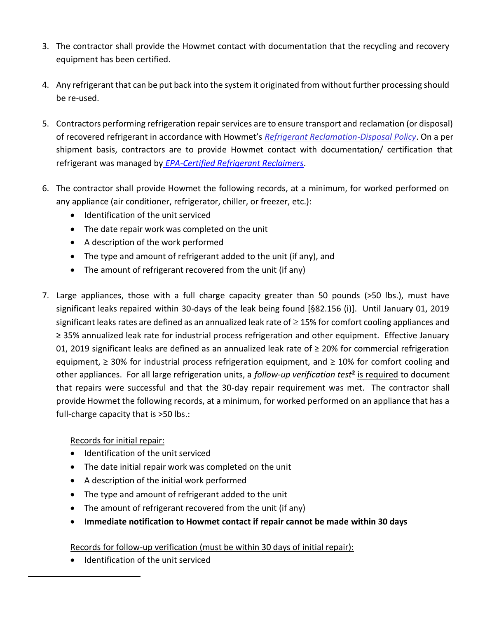- 3. The contractor shall provide the Howmet contact with documentation that the recycling and recovery equipment has been certified.
- 4. Any refrigerant that can be put back into the system it originated from without further processing should be re-used.
- 5. Contractors performing refrigeration repair services are to ensure transport and reclamation (or disposal) of recovered refrigerant in accordance with Howmet's *[Refrigerant Reclamation-Disposal Policy](http://myteams001.teams.arconic.com/sites/EHSMS/waste/Compliance%20ToolBox/Refrigerant%20Reclamation-Disposal%20Policy.docx)*. On a per shipment basis, contractors are to provide Howmet contact with documentation/ certification that refrigerant was managed by *[EPA-Certified Refrigerant Reclaimers](http://www.epa.gov/Ozone/title6/608/reclamation/reclist.html)*.
- 6. The contractor shall provide Howmet the following records, at a minimum, for worked performed on any appliance (air conditioner, refrigerator, chiller, or freezer, etc.):
	- Identification of the unit serviced
	- The date repair work was completed on the unit
	- A description of the work performed
	- The type and amount of refrigerant added to the unit (if any), and
	- The amount of refrigerant recovered from the unit (if any)
- 7. Large appliances, those with a full charge capacity greater than 50 pounds (>50 lbs.), must have significant leaks repaired within 30-days of the leak being found [§82.156 (i)]. Until January 01, 2019 significant leaks rates are defined as an annualized leak rate of  $\geq$  15% for comfort cooling appliances and ≥ 35% annualized leak rate for industrial process refrigeration and other equipment. Effective January 01, 2019 significant leaks are defined as an annualized leak rate of ≥ 20% for commercial refrigeration equipment, ≥ 30% for industrial process refrigeration equipment, and ≥ 10% for comfort cooling and other appliances. For all large refrigeration units, a *follow-up verification test***<sup>2</sup>** is required to document that repairs were successful and that the 30-day repair requirement was met. The contractor shall provide Howmet the following records, at a minimum, for worked performed on an appliance that has a full-charge capacity that is >50 lbs.:

#### Records for initial repair:

- Identification of the unit serviced
- The date initial repair work was completed on the unit
- A description of the initial work performed
- The type and amount of refrigerant added to the unit
- The amount of refrigerant recovered from the unit (if any)
- **Immediate notification to Howmet contact if repair cannot be made within 30 days**

Records for follow-up verification (must be within 30 days of initial repair):

• Identification of the unit serviced